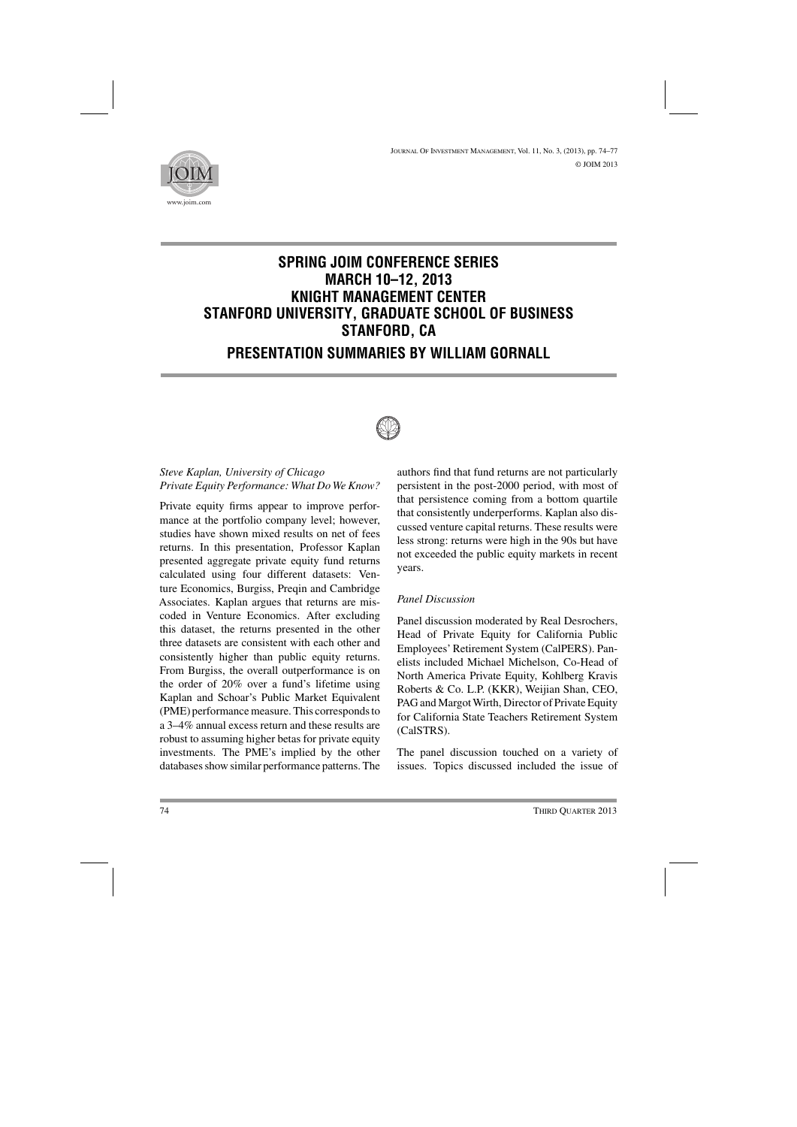

# **SPRING JOIM CONFERENCE SERIES MARCH 10–12, 2013 KNIGHT MANAGEMENT CENTER STANFORD UNIVERSITY, GRADUATE SCHOOL OF BUSINESS STANFORD, CA**

# **PRESENTATION SUMMARIES BY WILLIAM GORNALL**



## *Steve Kaplan, University of Chicago Private Equity Performance: What Do We Know?*

Private equity firms appear to improve performance at the portfolio company level; however, studies have shown mixed results on net of fees returns. In this presentation, Professor Kaplan presented aggregate private equity fund returns calculated using four different datasets: Venture Economics, Burgiss, Preqin and Cambridge Associates. Kaplan argues that returns are miscoded in Venture Economics. After excluding this dataset, the returns presented in the other three datasets are consistent with each other and consistently higher than public equity returns. From Burgiss, the overall outperformance is on the order of 20% over a fund's lifetime using Kaplan and Schoar's Public Market Equivalent (PME) performance measure. This corresponds to a 3–4% annual excess return and these results are robust to assuming higher betas for private equity investments. The PME's implied by the other databases show similar performance patterns. The

authors find that fund returns are not particularly persistent in the post-2000 period, with most of that persistence coming from a bottom quartile that consistently underperforms. Kaplan also discussed venture capital returns. These results were less strong: returns were high in the 90s but have not exceeded the public equity markets in recent years.

#### *Panel Discussion*

Panel discussion moderated by Real Desrochers, Head of Private Equity for California Public Employees' Retirement System (CalPERS). Panelists included Michael Michelson, Co-Head of North America Private Equity, Kohlberg Kravis Roberts & Co. L.P. (KKR), Weijian Shan, CEO, PAG and Margot Wirth, Director of Private Equity for California State Teachers Retirement System (CalSTRS).

The panel discussion touched on a variety of issues. Topics discussed included the issue of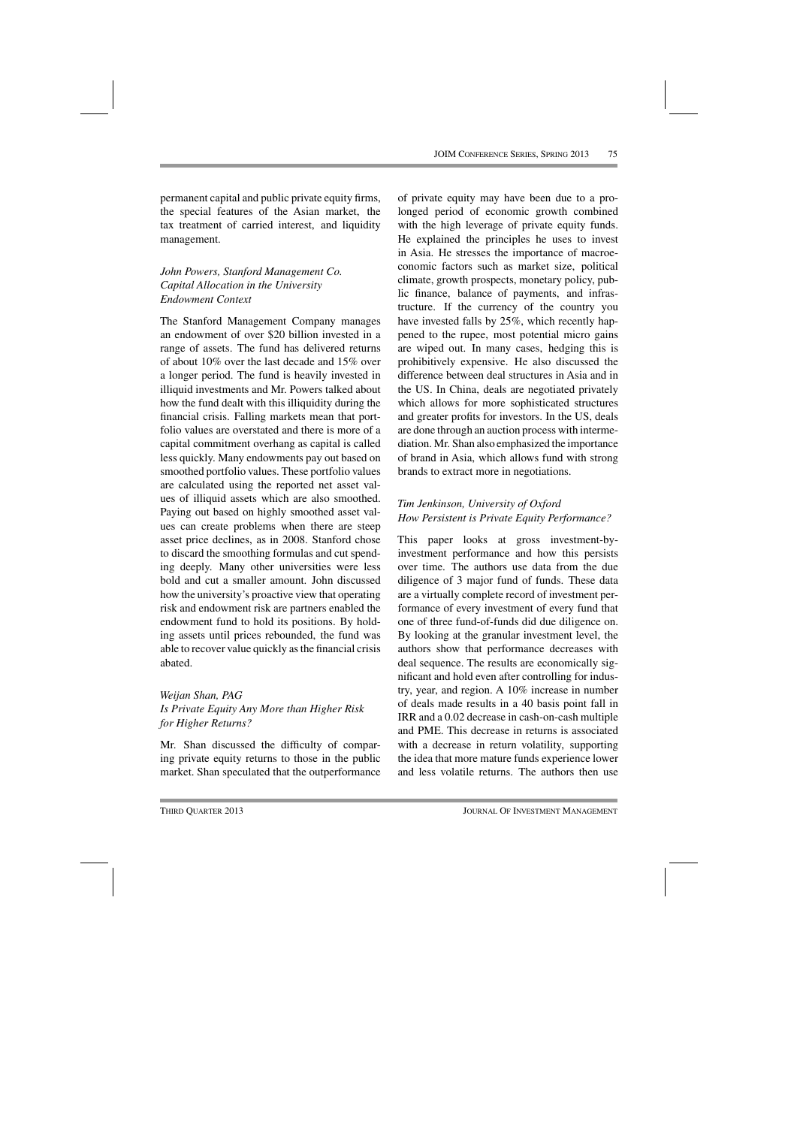permanent capital and public private equity firms, the special features of the Asian market, the tax treatment of carried interest, and liquidity management.

#### *John Powers, Stanford Management Co. Capital Allocation in the University Endowment Context*

The Stanford Management Company manages an endowment of over \$20 billion invested in a range of assets. The fund has delivered returns of about 10% over the last decade and 15% over a longer period. The fund is heavily invested in illiquid investments and Mr. Powers talked about how the fund dealt with this illiquidity during the financial crisis. Falling markets mean that portfolio values are overstated and there is more of a capital commitment overhang as capital is called less quickly. Many endowments pay out based on smoothed portfolio values. These portfolio values are calculated using the reported net asset values of illiquid assets which are also smoothed. Paying out based on highly smoothed asset values can create problems when there are steep asset price declines, as in 2008. Stanford chose to discard the smoothing formulas and cut spending deeply. Many other universities were less bold and cut a smaller amount. John discussed how the university's proactive view that operating risk and endowment risk are partners enabled the endowment fund to hold its positions. By holding assets until prices rebounded, the fund was able to recover value quickly as the financial crisis abated.

### *Weijan Shan, PAG Is Private Equity Any More than Higher Risk for Higher Returns?*

Mr. Shan discussed the difficulty of comparing private equity returns to those in the public market. Shan speculated that the outperformance of private equity may have been due to a prolonged period of economic growth combined with the high leverage of private equity funds. He explained the principles he uses to invest in Asia. He stresses the importance of macroeconomic factors such as market size, political climate, growth prospects, monetary policy, public finance, balance of payments, and infrastructure. If the currency of the country you have invested falls by 25%, which recently happened to the rupee, most potential micro gains are wiped out. In many cases, hedging this is prohibitively expensive. He also discussed the difference between deal structures in Asia and in the US. In China, deals are negotiated privately which allows for more sophisticated structures and greater profits for investors. In the US, deals are done through an auction process with intermediation. Mr. Shan also emphasized the importance of brand in Asia, which allows fund with strong brands to extract more in negotiations.

### *Tim Jenkinson, University of Oxford How Persistent is Private Equity Performance?*

This paper looks at gross investment-byinvestment performance and how this persists over time. The authors use data from the due diligence of 3 major fund of funds. These data are a virtually complete record of investment performance of every investment of every fund that one of three fund-of-funds did due diligence on. By looking at the granular investment level, the authors show that performance decreases with deal sequence. The results are economically significant and hold even after controlling for industry, year, and region. A 10% increase in number of deals made results in a 40 basis point fall in IRR and a 0.02 decrease in cash-on-cash multiple and PME. This decrease in returns is associated with a decrease in return volatility, supporting the idea that more mature funds experience lower and less volatile returns. The authors then use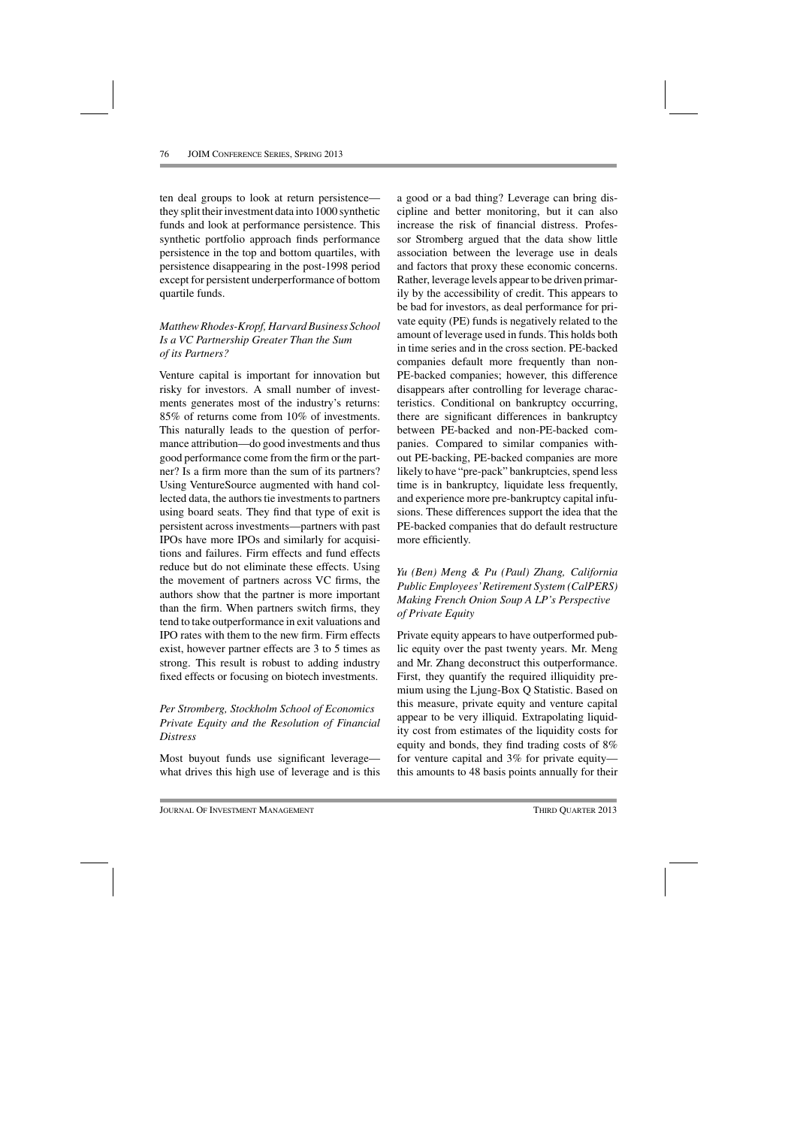ten deal groups to look at return persistence they split their investment data into 1000 synthetic funds and look at performance persistence. This synthetic portfolio approach finds performance persistence in the top and bottom quartiles, with persistence disappearing in the post-1998 period except for persistent underperformance of bottom quartile funds.

## *Matthew Rhodes-Kropf, Harvard Business School Is a VC Partnership Greater Than the Sum of its Partners?*

Venture capital is important for innovation but risky for investors. A small number of investments generates most of the industry's returns: 85% of returns come from 10% of investments. This naturally leads to the question of performance attribution—do good investments and thus good performance come from the firm or the partner? Is a firm more than the sum of its partners? Using VentureSource augmented with hand collected data, the authors tie investments to partners using board seats. They find that type of exit is persistent across investments—partners with past IPOs have more IPOs and similarly for acquisitions and failures. Firm effects and fund effects reduce but do not eliminate these effects. Using the movement of partners across VC firms, the authors show that the partner is more important than the firm. When partners switch firms, they tend to take outperformance in exit valuations and IPO rates with them to the new firm. Firm effects exist, however partner effects are 3 to 5 times as strong. This result is robust to adding industry fixed effects or focusing on biotech investments.

#### *Per Stromberg, Stockholm School of Economics Private Equity and the Resolution of Financial Distress*

Most buyout funds use significant leverage what drives this high use of leverage and is this a good or a bad thing? Leverage can bring discipline and better monitoring, but it can also increase the risk of financial distress. Professor Stromberg argued that the data show little association between the leverage use in deals and factors that proxy these economic concerns. Rather, leverage levels appear to be driven primarily by the accessibility of credit. This appears to be bad for investors, as deal performance for private equity (PE) funds is negatively related to the amount of leverage used in funds. This holds both in time series and in the cross section. PE-backed companies default more frequently than non-PE-backed companies; however, this difference disappears after controlling for leverage characteristics. Conditional on bankruptcy occurring, there are significant differences in bankruptcy between PE-backed and non-PE-backed companies. Compared to similar companies without PE-backing, PE-backed companies are more likely to have "pre-pack" bankruptcies, spend less time is in bankruptcy, liquidate less frequently, and experience more pre-bankruptcy capital infusions. These differences support the idea that the PE-backed companies that do default restructure more efficiently.

### *Yu (Ben) Meng & Pu (Paul) Zhang, California Public Employees'Retirement System (CalPERS) Making French Onion Soup A LP's Perspective of Private Equity*

Private equity appears to have outperformed public equity over the past twenty years. Mr. Meng and Mr. Zhang deconstruct this outperformance. First, they quantify the required illiquidity premium using the Ljung-Box Q Statistic. Based on this measure, private equity and venture capital appear to be very illiquid. Extrapolating liquidity cost from estimates of the liquidity costs for equity and bonds, they find trading costs of 8% for venture capital and 3% for private equity this amounts to 48 basis points annually for their